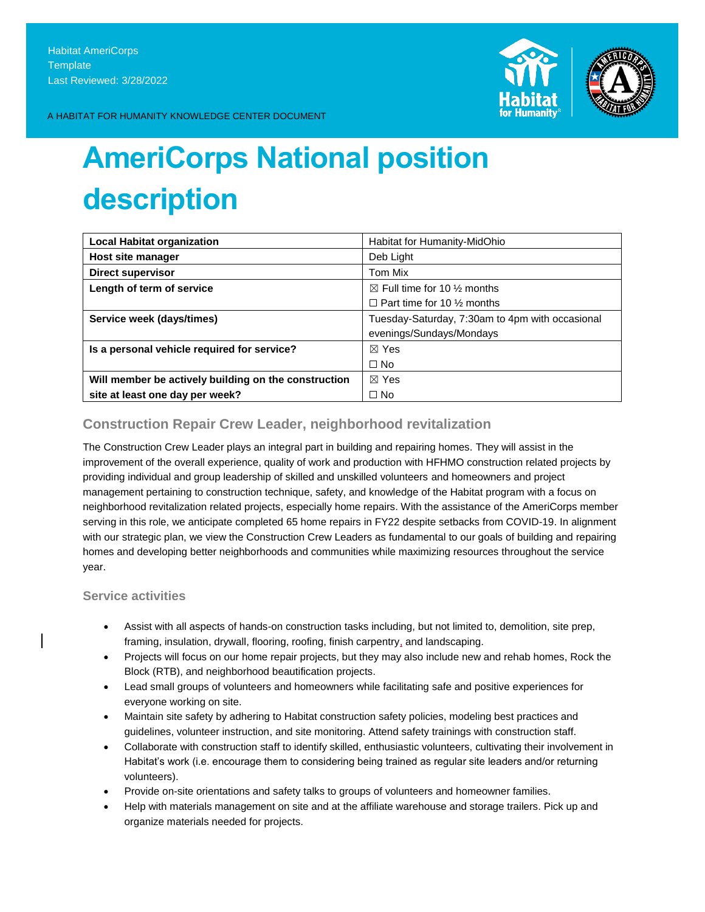

A HABITAT FOR HUMANITY KNOWLEDGE CENTER DOCUMENT

# **AmeriCorps National position description**

| <b>Local Habitat organization</b>                    | Habitat for Humanity-MidOhio                    |
|------------------------------------------------------|-------------------------------------------------|
| Host site manager                                    | Deb Light                                       |
| <b>Direct supervisor</b>                             | Tom Mix                                         |
| Length of term of service                            | $\boxtimes$ Full time for 10 % months           |
|                                                      | $\Box$ Part time for 10 $\frac{1}{2}$ months    |
| Service week (days/times)                            | Tuesday-Saturday, 7:30am to 4pm with occasional |
|                                                      | evenings/Sundays/Mondays                        |
| Is a personal vehicle required for service?          | $\boxtimes$ Yes                                 |
|                                                      | $\Box$ No                                       |
| Will member be actively building on the construction | $\boxtimes$ Yes                                 |
| site at least one day per week?                      | $\Box$ No                                       |

# **Construction Repair Crew Leader, neighborhood revitalization**

The Construction Crew Leader plays an integral part in building and repairing homes. They will assist in the improvement of the overall experience, quality of work and production with HFHMO construction related projects by providing individual and group leadership of skilled and unskilled volunteers and homeowners and project management pertaining to construction technique, safety, and knowledge of the Habitat program with a focus on neighborhood revitalization related projects, especially home repairs. With the assistance of the AmeriCorps member serving in this role, we anticipate completed 65 home repairs in FY22 despite setbacks from COVID-19. In alignment with our strategic plan, we view the Construction Crew Leaders as fundamental to our goals of building and repairing homes and developing better neighborhoods and communities while maximizing resources throughout the service year.

## **Service activities**

- Assist with all aspects of hands-on construction tasks including, but not limited to, demolition, site prep, framing, insulation, drywall, flooring, roofing, finish carpentry, and landscaping.
- Projects will focus on our home repair projects, but they may also include new and rehab homes, Rock the Block (RTB), and neighborhood beautification projects.
- Lead small groups of volunteers and homeowners while facilitating safe and positive experiences for everyone working on site.
- Maintain site safety by adhering to Habitat construction safety policies, modeling best practices and guidelines, volunteer instruction, and site monitoring. Attend safety trainings with construction staff.
- Collaborate with construction staff to identify skilled, enthusiastic volunteers, cultivating their involvement in Habitat's work (i.e. encourage them to considering being trained as regular site leaders and/or returning volunteers).
- Provide on-site orientations and safety talks to groups of volunteers and homeowner families.
- Help with materials management on site and at the affiliate warehouse and storage trailers. Pick up and organize materials needed for projects.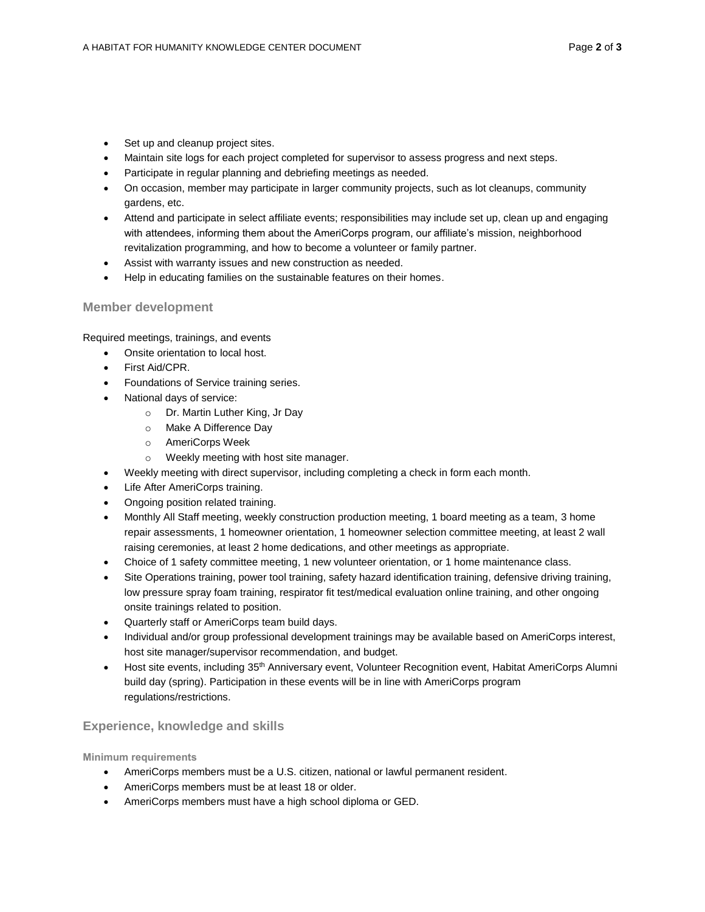- Set up and cleanup project sites.
- Maintain site logs for each project completed for supervisor to assess progress and next steps.
- Participate in regular planning and debriefing meetings as needed.
- On occasion, member may participate in larger community projects, such as lot cleanups, community gardens, etc.
- Attend and participate in select affiliate events; responsibilities may include set up, clean up and engaging with attendees, informing them about the AmeriCorps program, our affiliate's mission, neighborhood revitalization programming, and how to become a volunteer or family partner.
- Assist with warranty issues and new construction as needed.
- Help in educating families on the sustainable features on their homes.

### **Member development**

Required meetings, trainings, and events

- Onsite orientation to local host.
- First Aid/CPR.
- Foundations of Service training series.
- National days of service:
	- o Dr. Martin Luther King, Jr Day
	- o Make A Difference Day
	- o AmeriCorps Week
	- o Weekly meeting with host site manager.
- Weekly meeting with direct supervisor, including completing a check in form each month.
- Life After AmeriCorps training.
- Ongoing position related training.
- Monthly All Staff meeting, weekly construction production meeting, 1 board meeting as a team, 3 home repair assessments, 1 homeowner orientation, 1 homeowner selection committee meeting, at least 2 wall raising ceremonies, at least 2 home dedications, and other meetings as appropriate.
- Choice of 1 safety committee meeting, 1 new volunteer orientation, or 1 home maintenance class.
- Site Operations training, power tool training, safety hazard identification training, defensive driving training, low pressure spray foam training, respirator fit test/medical evaluation online training, and other ongoing onsite trainings related to position.
- Quarterly staff or AmeriCorps team build days.
- Individual and/or group professional development trainings may be available based on AmeriCorps interest, host site manager/supervisor recommendation, and budget.
- Host site events, including 35<sup>th</sup> Anniversary event, Volunteer Recognition event, Habitat AmeriCorps Alumni build day (spring). Participation in these events will be in line with AmeriCorps program regulations/restrictions.

### **Experience, knowledge and skills**

**Minimum requirements**

- AmeriCorps members must be a U.S. citizen, national or lawful permanent resident.
- AmeriCorps members must be at least 18 or older.
- AmeriCorps members must have a high school diploma or GED.